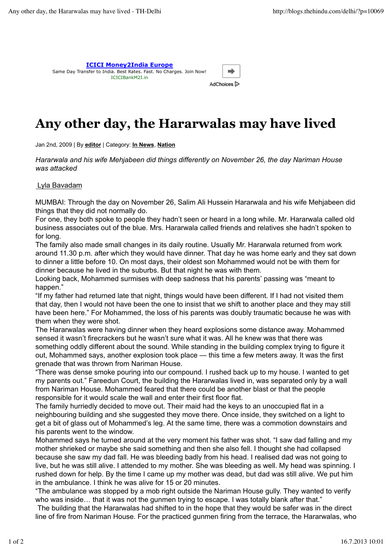

## **Any other day, the Hararwalas may have lived**

Jan 2nd, 2009 | By **editor** | Category: **In News**, **Nation**

*Hararwala and his wife Mehjabeen did things differently on November 26, the day Nariman House was attacked*

## Lyla Bavadam

MUMBAI: Through the day on November 26, Salim Ali Hussein Hararwala and his wife Mehjabeen did things that they did not normally do.

For one, they both spoke to people they hadn't seen or heard in a long while. Mr. Hararwala called old business associates out of the blue. Mrs. Hararwala called friends and relatives she hadn't spoken to for long.

The family also made small changes in its daily routine. Usually Mr. Hararwala returned from work around 11.30 p.m. after which they would have dinner. That day he was home early and they sat down to dinner a little before 10. On most days, their oldest son Mohammed would not be with them for dinner because he lived in the suburbs. But that night he was with them.

Looking back, Mohammed surmises with deep sadness that his parents' passing was "meant to happen."

"If my father had returned late that night, things would have been different. If I had not visited them that day, then I would not have been the one to insist that we shift to another place and they may still have been here." For Mohammed, the loss of his parents was doubly traumatic because he was with them when they were shot.

The Hararwalas were having dinner when they heard explosions some distance away. Mohammed sensed it wasn't firecrackers but he wasn't sure what it was. All he knew was that there was something oddly different about the sound. While standing in the building complex trying to figure it out, Mohammed says, another explosion took place — this time a few meters away. It was the first grenade that was thrown from Nariman House.

"There was dense smoke pouring into our compound. I rushed back up to my house. I wanted to get my parents out." Fareedun Court, the building the Hararwalas lived in, was separated only by a wall from Nariman House. Mohammed feared that there could be another blast or that the people responsible for it would scale the wall and enter their first floor flat.

The family hurriedly decided to move out. Their maid had the keys to an unoccupied flat in a neighbouring building and she suggested they move there. Once inside, they switched on a light to get a bit of glass out of Mohammed's leg. At the same time, there was a commotion downstairs and his parents went to the window.

Mohammed says he turned around at the very moment his father was shot. "I saw dad falling and my mother shrieked or maybe she said something and then she also fell. I thought she had collapsed because she saw my dad fall. He was bleeding badly from his head. I realised dad was not going to live, but he was still alive. I attended to my mother. She was bleeding as well. My head was spinning. I rushed down for help. By the time I came up my mother was dead, but dad was still alive. We put him in the ambulance. I think he was alive for 15 or 20 minutes.

"The ambulance was stopped by a mob right outside the Nariman House gully. They wanted to verify who was inside... that it was not the gunmen trying to escape. I was totally blank after that."

 The building that the Hararwalas had shifted to in the hope that they would be safer was in the direct line of fire from Nariman House. For the practiced gunmen firing from the terrace, the Hararwalas, who